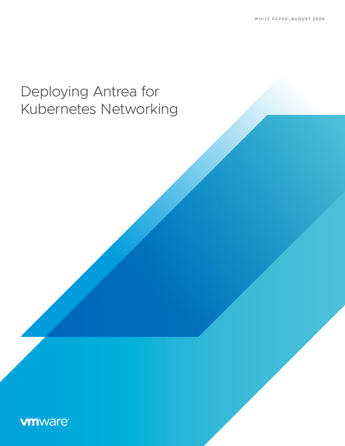# Deploying Antrea for Kubernetes Networking

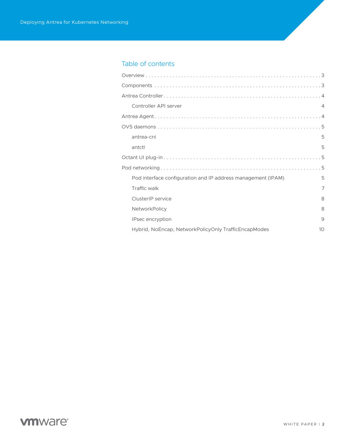### Table of contents

| Controller API server                                        | $\overline{4}$ |
|--------------------------------------------------------------|----------------|
|                                                              |                |
|                                                              |                |
| antrea-cni                                                   | 5              |
| antctl                                                       | 5              |
|                                                              |                |
|                                                              |                |
| Pod interface configuration and IP address management (IPAM) | 5              |
| Traffic walk                                                 | 7              |
| ClusterIP service                                            | 8              |
| NetworkPolicy                                                | 8              |
| IPsec encryption                                             | 9              |
| Hybrid, NoEncap, NetworkPolicyOnly TrafficEncapModes         | 10             |

# **vmware**®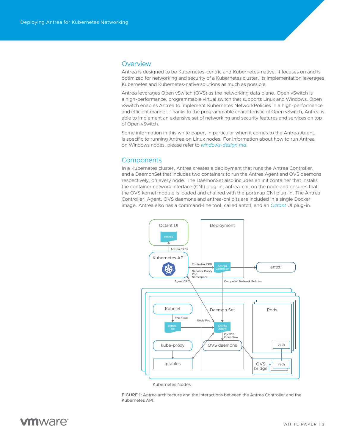#### <span id="page-2-0"></span>**Overview**

Antrea is designed to be Kubernetes-centric and Kubernetes-native. It focuses on and is optimized for networking and security of a Kubernetes cluster. Its implementation leverages Kubernetes and Kubernetes-native solutions as much as possible.

Antrea leverages Open vSwitch (OVS) as the networking data plane. Open vSwitch is a high-performance, programmable virtual switch that supports Linux and Windows. Open vSwitch enables Antrea to implement Kubernetes NetworkPolicies in a high-performance and efficient manner. Thanks to the programmable characteristic of Open vSwitch, Antrea is able to implement an extensive set of networking and security features and services on top of Open vSwitch.

Some information in this white paper, in particular when it comes to the Antrea Agent, is specific to running Antrea on Linux nodes. For information about how to run Antrea on Windows nodes, please refer to *[windows-design.md](https://github.com/vmware-tanzu/antrea/blob/master/docs/windows-design.md)*.

#### **Components**

In a Kubernetes cluster, Antrea creates a deployment that runs the Antrea Controller, and a DaemonSet that includes two containers to run the Antrea Agent and OVS daemons respectively, on every node. The DaemonSet also includes an init container that installs the container network interface (CNI) plug-in, antrea-cni, on the node and ensures that the OVS kernel module is loaded and chained with the portmap CNI plug-in. The Antrea Controller, Agent, OVS daemons and antrea-cni bits are included in a single Docker image. Antrea also has a command-line tool, called antctl, and an *[Octant](https://github.com/vmware-tanzu/octant)* UI plug-in.



Kubernetes Nodes

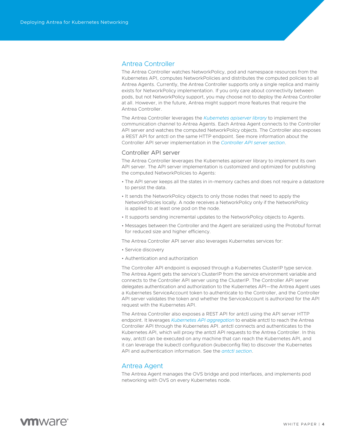#### <span id="page-3-0"></span>Antrea Controller

The Antrea Controller watches NetworkPolicy, pod and namespace resources from the Kubernetes API, computes NetworkPolicies and distributes the computed policies to all Antrea Agents. Currently, the Antrea Controller supports only a single replica and mainly exists for NetworkPolicy implementation. If you only care about connectivity between pods, but not NetworkPolicy support, you may choose not to deploy the Antrea Controller at all. However, in the future, Antrea might support more features that require the Antrea Controller.

The Antrea Controller leverages the *[Kubernetes apiserver library](https://github.com/kubernetes/apiserver)* to implement the communication channel to Antrea Agents. Each Antrea Agent connects to the Controller API server and watches the computed NetworkPolicy objects. The Controller also exposes a REST API for antctl on the same HTTP endpoint. See more information about the Controller API server implementation in the *[Controller API server section](https://github.com/vmware-tanzu/antrea/blob/master/docs/architecture.md#Controller-API-server)*.

#### Controller API server

The Antrea Controller leverages the Kubernetes apiserver library to implement its own API server. The API server implementation is customized and optimized for publishing the computed NetworkPolicies to Agents:

- The API server keeps all the states in in-memory caches and does not require a datastore to persist the data.
- It sends the NetworkPolicy objects to only those nodes that need to apply the NetworkPolicies locally. A node receives a NetworkPolicy only if the NetworkPolicy is applied to at least one pod on the node.
- It supports sending incremental updates to the NetworkPolicy objects to Agents.
- Messages between the Controller and the Agent are serialized using the Protobuf format for reduced size and higher efficiency.

The Antrea Controller API server also leverages Kubernetes services for:

- Service discovery
- Authentication and authorization

The Controller API endpoint is exposed through a Kubernetes ClusterIP type service. The Antrea Agent gets the service's ClusterIP from the service environment variable and connects to the Controller API server using the ClusterIP. The Controller API server delegates authentication and authorization to the Kubernetes API—the Antrea Agent uses a Kubernetes ServiceAccount token to authenticate to the Controller, and the Controller API server validates the token and whether the ServiceAccount is authorized for the API request with the Kubernetes API.

The Antrea Controller also exposes a REST API for antctl using the API server HTTP endpoint. It leverages *[Kubernetes API aggregation](https://kubernetes.io/docs/concepts/extend-kubernetes/api-extension/apiserver-aggregation/)* to enable antctl to reach the Antrea Controller API through the Kubernetes API. antctl connects and authenticates to the Kubernetes API, which will proxy the antctl API requests to the Antrea Controller. In this way, antctl can be executed on any machine that can reach the Kubernetes API, and it can leverage the kubectl configuration (kubeconfig file) to discover the Kubernetes API and authentication information. See the *[antctl section](https://github.com/vmware-tanzu/antrea/blob/master/docs/architecture.md#antctl)*.

#### Antrea Agent

The Antrea Agent manages the OVS bridge and pod interfaces, and implements pod networking with OVS on every Kubernetes node.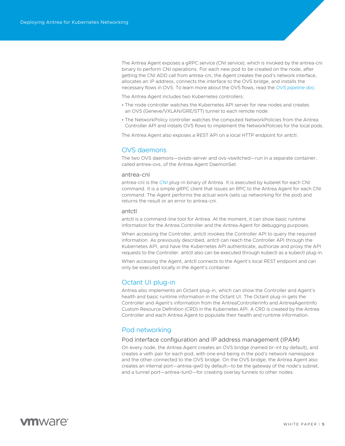<span id="page-4-0"></span>The Antrea Agent exposes a gRPC service (CNI service), which is invoked by the antrea-cni binary to perform CNI operations. For each new pod to be created on the node, after getting the CNI ADD call from antrea-cni, the Agent creates the pod's network interface, allocates an IP address, connects the interface to the OVS bridge, and installs the necessary flows in OVS. To learn more about the OVS flows, read the *[OVS pipeline doc](https://github.com/vmware-tanzu/antrea/blob/master/docs/ovs-pipeline.md)*.

The Antrea Agent includes two Kubernetes controllers:

- The node controller watches the Kubernetes API server for new nodes and creates an OVS (Geneve/VXLAN/GRE/STT) tunnel to each remote node.
- The NetworkPolicy controller watches the computed NetworkPolicies from the Antrea Controller API and installs OVS flows to implement the NetworkPolicies for the local pods.

The Antrea Agent also exposes a REST API on a local HTTP endpoint for antctl.

#### OVS daemons

The two OVS daemons—ovsds-server and ovs-vswitched—run in a separate container, called antrea-ovs, of the Antrea Agent DaemonSet.

#### antrea-cni

antrea-cni is the *[CNI](https://github.com/containernetworking/cni)* plug-in binary of Antrea. It is executed by kubelet for each CNI command. It is a simple gRPC client that issues an RPC to the Antrea Agent for each CNI command. The Agent performs the actual work (sets up networking for the pod) and returns the result or an error to antrea-cni.

#### antctl

antctl is a command-line tool for Antrea. At the moment, it can show basic runtime information for the Antrea Controller and the Antrea Agent for debugging purposes.

When accessing the Controller, antctl invokes the Controller API to query the required information. As previously described, antctl can reach the Controller API through the Kubernetes API, and have the Kubernetes API authenticate, authorize and proxy the API requests to the Controller. antctl also can be executed through kubectl as a kubectl plug-in.

When accessing the Agent, antctl connects to the Agent's local REST endpoint and can only be executed locally in the Agent's container.

#### Octant UI plug-in

Antrea also implements an Octant plug-in, which can show the Controller and Agent's health and basic runtime information in the Octant UI. The Octant plug-in gets the Controller and Agent's information from the AntreaControllerInfo and AntreaAgentInfo Custom Resource Definition (CRD) in the Kubernetes API. A CRD is created by the Antrea Controller and each Antrea Agent to populate their health and runtime information.

#### Pod networking

#### Pod interface configuration and IP address management (IPAM)

On every node, the Antrea Agent creates an OVS bridge (named br-int by default), and creates a veth pair for each pod, with one end being in the pod's network namespace and the other connected to the OVS bridge. On the OVS bridge, the Antrea Agent also creates an internal port—antrea-gw0 by default—to be the gateway of the node's subnet, and a tunnel port—antrea-tun0—for creating overlay tunnels to other nodes.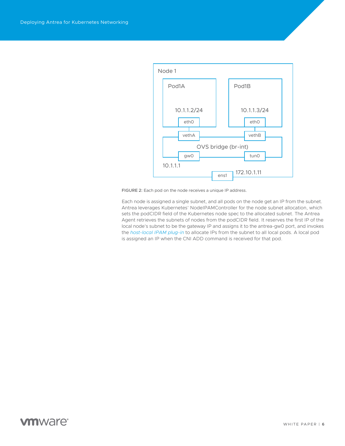

FIGURE 2: Each pod on the node receives a unique IP address.

Each node is assigned a single subnet, and all pods on the node get an IP from the subnet. Antrea leverages Kubernetes' NodeIPAMController for the node subnet allocation, which sets the podCIDR field of the Kubernetes node spec to the allocated subnet. The Antrea Agent retrieves the subnets of nodes from the podCIDR field. It reserves the first IP of the local node's subnet to be the gateway IP and assigns it to the antrea-gw0 port, and invokes the *[host-local IPAM plug-in](https://github.com/containernetworking/plugins/tree/master/plugins/ipam/host-local)* to allocate IPs from the subnet to all local pods. A local pod is assigned an IP when the CNI ADD command is received for that pod.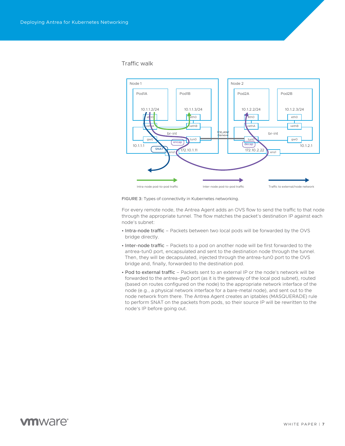#### <span id="page-6-0"></span>Traffic walk



FIGURE 3: Types of connectivity in Kubernetes networking.

For every remote node, the Antrea Agent adds an OVS flow to send the traffic to that node through the appropriate tunnel. The flow matches the packet's destination IP against each node's subnet:

- Intra-node traffic Packets between two local pods will be forwarded by the OVS bridge directly.
- Inter-node traffic Packets to a pod on another node will be first forwarded to the antrea-tun0 port, encapsulated and sent to the destination node through the tunnel. Then, they will be decapsulated, injected through the antrea-tun0 port to the OVS bridge and, finally, forwarded to the destination pod.
- Pod to external traffic Packets sent to an external IP or the node's network will be forwarded to the antrea-gw0 port (as it is the gateway of the local pod subnet), routed (based on routes configured on the node) to the appropriate network interface of the node (e.g., a physical network interface for a bare-metal node), and sent out to the node network from there. The Antrea Agent creates an iptables (MASQUERADE) rule to perform SNAT on the packets from pods, so their source IP will be rewritten to the node's IP before going out.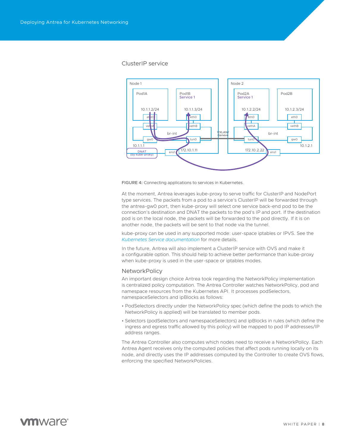#### <span id="page-7-0"></span>ClusterIP service





At the moment, Antrea leverages kube-proxy to serve traffic for ClusterIP and NodePort type services. The packets from a pod to a service's ClusterIP will be forwarded through the antrea-gw0 port, then kube-proxy will select one service back-end pod to be the connection's destination and DNAT the packets to the pod's IP and port. If the destination pod is on the local node, the packets will be forwarded to the pod directly. If it is on another node, the packets will be sent to that node via the tunnel.

kube-proxy can be used in any supported mode: user-space iptables or IPVS. See the *[Kubernetes Service documentation](https://kubernetes.io/docs/concepts/services-networking/service/)* for more details.

In the future, Antrea will also implement a ClusterIP service with OVS and make it a configurable option. This should help to achieve better performance than kube-proxy when kube-proxy is used in the user-space or iptables modes.

#### **NetworkPolicy**

An important design choice Antrea took regarding the NetworkPolicy implementation is centralized policy computation. The Antrea Controller watches NetworkPolicy, pod and namespace resources from the Kubernetes API. It processes podSelectors, namespaceSelectors and ipBlocks as follows:

- PodSelectors directly under the NetworkPolicy spec (which define the pods to which the NetworkPolicy is applied) will be translated to member pods.
- Selectors (podSelectors and namespaceSelectors) and ipBlocks in rules (which define the ingress and egress traffic allowed by this policy) will be mapped to pod IP addresses/IP address ranges.

The Antrea Controller also computes which nodes need to receive a NetworkPolicy. Each Antrea Agent receives only the computed policies that affect pods running locally on its node, and directly uses the IP addresses computed by the Controller to create OVS flows, enforcing the specified NetworkPolicies.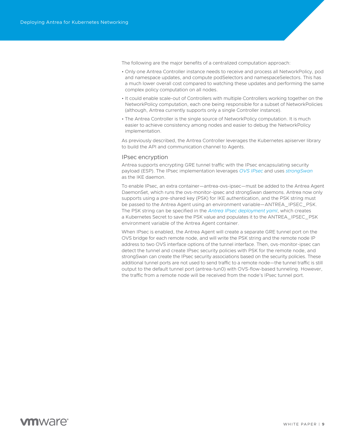<span id="page-8-0"></span>The following are the major benefits of a centralized computation approach:

- Only one Antrea Controller instance needs to receive and process all NetworkPolicy, pod and namespace updates, and compute podSelectors and namespaceSelectors. This has a much lower overall cost compared to watching these updates and performing the same complex policy computation on all nodes.
- It could enable scale-out of Controllers with multiple Controllers working together on the NetworkPolicy computation, each one being responsible for a subset of NetworkPolicies (although, Antrea currently supports only a single Controller instance).
- The Antrea Controller is the single source of NetworkPolicy computation. It is much easier to achieve consistency among nodes and easier to debug the NetworkPolicy implementation.

As previously described, the Antrea Controller leverages the Kubernetes apiserver library to build the API and communication channel to Agents.

#### IPsec encryption

Antrea supports encrypting GRE tunnel traffic with the IPsec encapsulating security payload (ESP). The IPsec implementation leverages *[OVS IPsec](https://docs.openvswitch.org/en/latest/tutorials/ipsec/)* and uses *[strongSwan](https://www.strongswan.org/)* as the IKE daemon.

To enable IPsec, an extra container—antrea-ovs-ipsec—must be added to the Antrea Agent DaemonSet, which runs the ovs-monitor-ipsec and strongSwan daemons. Antrea now only supports using a pre-shared key (PSK) for IKE authentication, and the PSK string must be passed to the Antrea Agent using an environment variable—ANTREA\_IPSEC\_PSK. The PSK string can be specified in the *[Antrea IPsec deployment yaml](https://github.com/vmware-tanzu/antrea/blob/master/build/yamls/antrea-ipsec.yml)*, which creates a Kubernetes Secret to save the PSK value and populates it to the ANTREA\_IPSEC\_PSK environment variable of the Antrea Agent container.

When IPsec is enabled, the Antrea Agent will create a separate GRE tunnel port on the OVS bridge for each remote node, and will write the PSK string and the remote node IP address to two OVS interface options of the tunnel interface. Then, ovs-monitor-ipsec can detect the tunnel and create IPsec security policies with PSK for the remote node, and strongSwan can create the IPsec security associations based on the security policies. These additional tunnel ports are not used to send traffic to a remote node—the tunnel traffic is still output to the default tunnel port (antrea-tun0) with OVS-flow-based tunneling. However, the traffic from a remote node will be received from the node's IPsec tunnel port.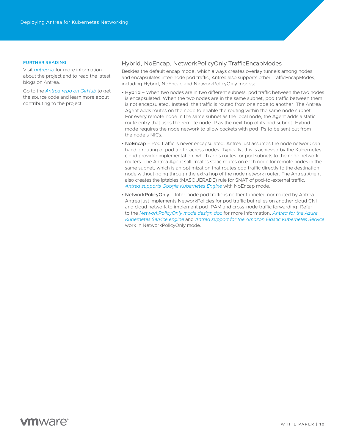#### <span id="page-9-0"></span>FURTHER READING

Visit *[antrea.io](https://antrea.io/)* for more information about the project and to read the latest blogs on Antrea.

Go to the *[Antrea repo on GitHub](https://github.com/vmware-tanzu/antrea)* to get the source code and learn more about contributing to the project.

#### Hybrid, NoEncap, NetworkPolicyOnly TrafficEncapModes

Besides the default encap mode, which always creates overlay tunnels among nodes and encapsulates inter-node pod traffic, Antrea also supports other TrafficEncapModes, including Hybrid, NoEncap and NetworkPolicyOnly modes:

- Hybrid When two nodes are in two different subnets, pod traffic between the two nodes is encapsulated. When the two nodes are in the same subnet, pod traffic between them is not encapsulated. Instead, the traffic is routed from one node to another. The Antrea Agent adds routes on the node to enable the routing within the same node subnet. For every remote node in the same subnet as the local node, the Agent adds a static route entry that uses the remote node IP as the next hop of its pod subnet. Hybrid mode requires the node network to allow packets with pod IPs to be sent out from the node's NICs.
- NoEncap Pod traffic is never encapsulated. Antrea just assumes the node network can handle routing of pod traffic across nodes. Typically, this is achieved by the Kubernetes cloud provider implementation, which adds routes for pod subnets to the node network routers. The Antrea Agent still creates static routes on each node for remote nodes in the same subnet, which is an optimization that routes pod traffic directly to the destination node without going through the extra hop of the node network router. The Antrea Agent also creates the iptables (MASQUERADE) rule for SNAT of pod-to-external traffic. *[Antrea supports Google Kubernetes Engine](https://github.com/vmware-tanzu/antrea/blob/master/docs/gke-installation.md)* with NoEncap mode.
- NetworkPolicyOnly Inter-node pod traffic is neither tunneled nor routed by Antrea. Antrea just implements NetworkPolicies for pod traffic but relies on another cloud CNI and cloud network to implement pod IPAM and cross-node traffic forwarding. Refer to the *[NetworkPolicyOnly mode design doc](https://github.com/vmware-tanzu/antrea/blob/master/docs/policy-only.md)* for more information. *[Antrea for the Azure](https://github.com/Azure/aks-engine/blob/master/docs/topics/features.md#feat-antrea)  [Kubernetes Service engine](https://github.com/Azure/aks-engine/blob/master/docs/topics/features.md#feat-antrea)* and *[Antrea support for the Amazon Elastic Kubernetes Service](https://github.com/vmware-tanzu/antrea/blob/master/docs/eks-installation.md)* work in NetworkPolicyOnly mode.